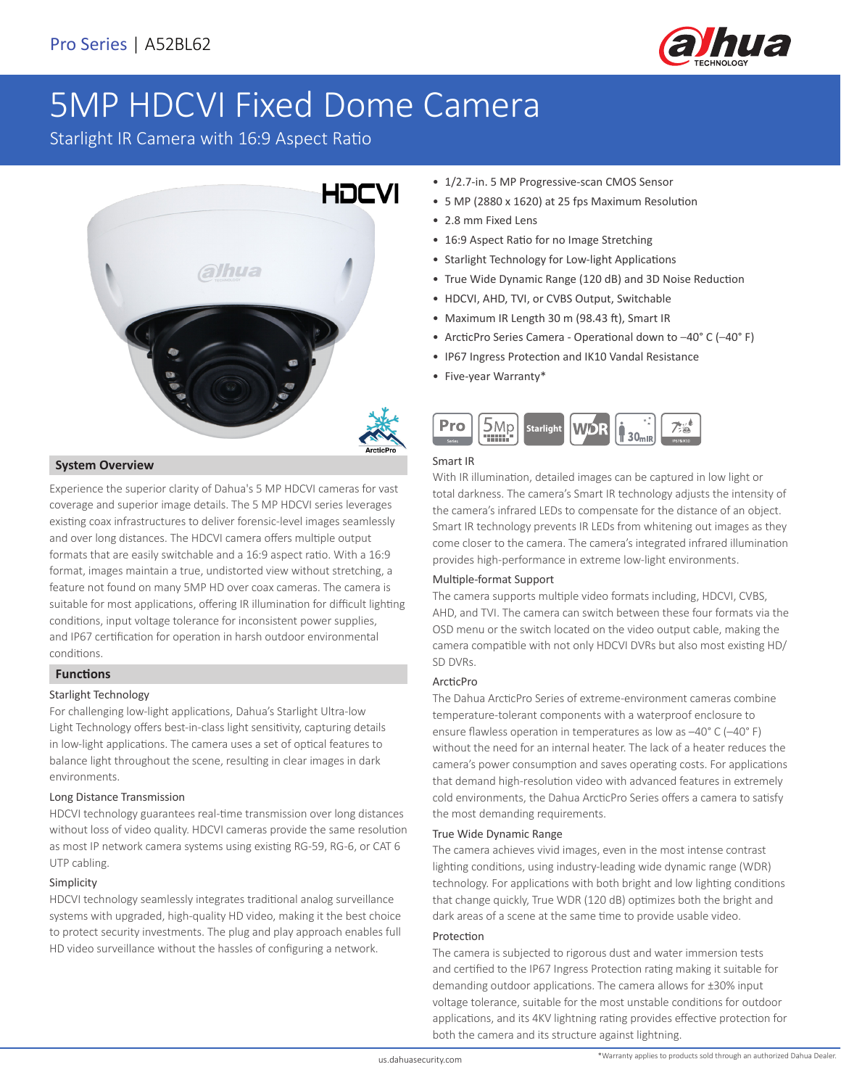

# 5MP HDCVI Fixed Dome Camera

Starlight IR Camera with 16:9 Aspect Ratio



#### **System Overview**

Experience the superior clarity of Dahua's 5 MP HDCVI cameras for vast coverage and superior image details. The 5 MP HDCVI series leverages existing coax infrastructures to deliver forensic-level images seamlessly and over long distances. The HDCVI camera offers multiple output formats that are easily switchable and a 16:9 aspect ratio. With a 16:9 format, images maintain a true, undistorted view without stretching, a feature not found on many 5MP HD over coax cameras. The camera is suitable for most applications, offering IR illumination for difficult lighting conditions, input voltage tolerance for inconsistent power supplies, and IP67 certification for operation in harsh outdoor environmental conditions.

#### **Functions**

#### Starlight Technology

For challenging low-light applications, Dahua's Starlight Ultra-low Light Technology offers best-in-class light sensitivity, capturing details in low-light applications. The camera uses a set of optical features to balance light throughout the scene, resulting in clear images in dark environments.

#### Long Distance Transmission

HDCVI technology guarantees real-time transmission over long distances without loss of video quality. HDCVI cameras provide the same resolution as most IP network camera systems using existing RG-59, RG-6, or CAT 6 UTP cabling.

#### Simplicity

HDCVI technology seamlessly integrates traditional analog surveillance systems with upgraded, high-quality HD video, making it the best choice to protect security investments. The plug and play approach enables full HD video surveillance without the hassles of configuring a network.

- 1/2.7-in. 5 MP Progressive-scan CMOS Sensor
- 5 MP (2880 x 1620) at 25 fps Maximum Resolution
- 2.8 mm Fixed Lens
- 16:9 Aspect Ratio for no Image Stretching
- Starlight Technology for Low-light Applications
- True Wide Dynamic Range (120 dB) and 3D Noise Reduction
- HDCVI, AHD, TVI, or CVBS Output, Switchable
- Maximum IR Length 30 m (98.43 ft), Smart IR
- ArcticPro Series Camera Operational down to –40° C (–40° F)
- IP67 Ingress Protection and IK10 Vandal Resistance
- Five-year Warranty\*



#### Smart IR

With IR illumination, detailed images can be captured in low light or total darkness. The camera's Smart IR technology adjusts the intensity of the camera's infrared LEDs to compensate for the distance of an object. Smart IR technology prevents IR LEDs from whitening out images as they come closer to the camera. The camera's integrated infrared illumination provides high-performance in extreme low-light environments.

#### Multiple-format Support

The camera supports multiple video formats including, HDCVI, CVBS, AHD, and TVI. The camera can switch between these four formats via the OSD menu or the switch located on the video output cable, making the camera compatible with not only HDCVI DVRs but also most existing HD/ SD DVRs.

#### ArcticPro

The Dahua ArcticPro Series of extreme-environment cameras combine temperature-tolerant components with a waterproof enclosure to ensure flawless operation in temperatures as low as –40° C (–40° F) without the need for an internal heater. The lack of a heater reduces the camera's power consumption and saves operating costs. For applications that demand high-resolution video with advanced features in extremely cold environments, the Dahua ArcticPro Series offers a camera to satisfy the most demanding requirements.

#### True Wide Dynamic Range

The camera achieves vivid images, even in the most intense contrast lighting conditions, using industry-leading wide dynamic range (WDR) technology. For applications with both bright and low lighting conditions that change quickly, True WDR (120 dB) optimizes both the bright and dark areas of a scene at the same time to provide usable video.

#### Protection

The camera is subjected to rigorous dust and water immersion tests and certified to the IP67 Ingress Protection rating making it suitable for demanding outdoor applications. The camera allows for ±30% input voltage tolerance, suitable for the most unstable conditions for outdoor applications, and its 4KV lightning rating provides effective protection for both the camera and its structure against lightning.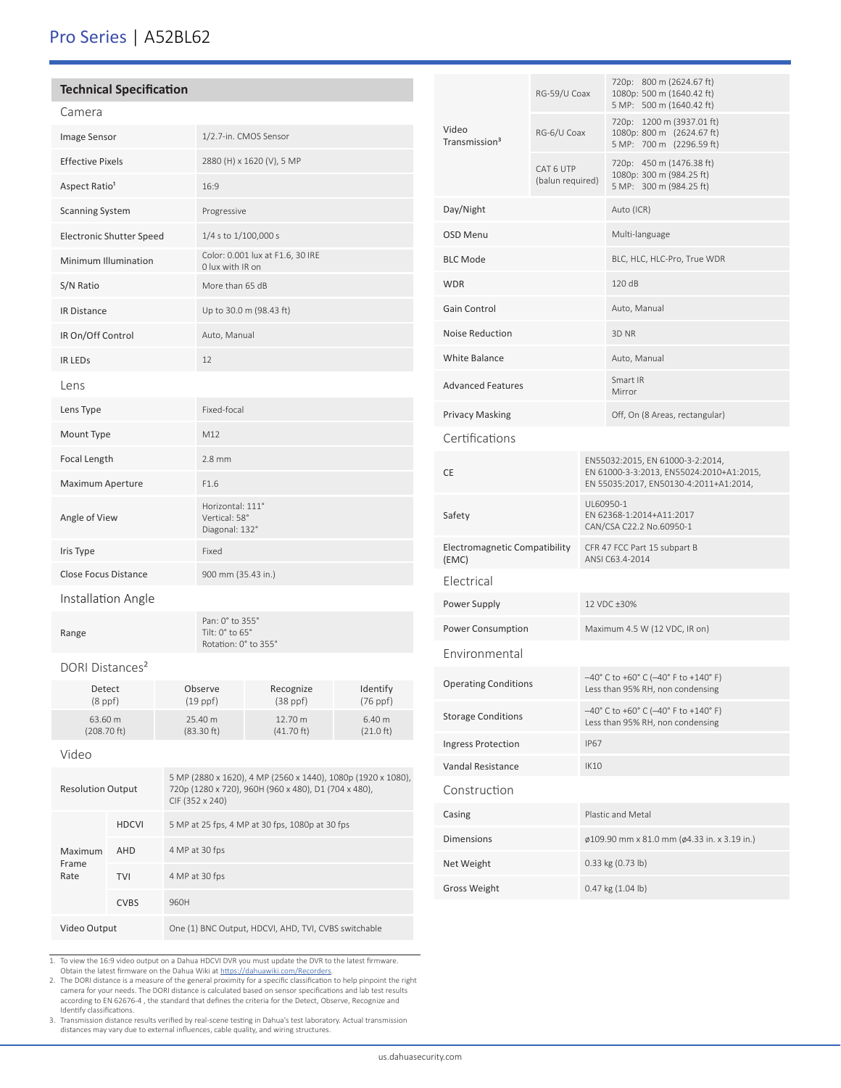# Pro Series | A52BL62

| <b>Technical Specification</b> |                             |                                                      |  |  |
|--------------------------------|-----------------------------|------------------------------------------------------|--|--|
|                                | Camera                      |                                                      |  |  |
|                                | Image Sensor                | 1/2.7-in. CMOS Sensor                                |  |  |
|                                | <b>Effective Pixels</b>     | 2880 (H) x 1620 (V), 5 MP                            |  |  |
|                                | Aspect Ratio <sup>1</sup>   | 16:9                                                 |  |  |
|                                | <b>Scanning System</b>      | Progressive                                          |  |  |
|                                | Electronic Shutter Speed    | 1/4 s to 1/100,000 s                                 |  |  |
|                                | Minimum Illumination        | Color: 0.001 lux at F1.6, 30 IRE<br>0 lux with IR on |  |  |
|                                | S/N Ratio                   | More than 65 dB                                      |  |  |
|                                | <b>IR Distance</b>          | Up to 30.0 m (98.43 ft)                              |  |  |
|                                | IR On/Off Control           | Auto, Manual                                         |  |  |
|                                | <b>IR LEDS</b>              | 12                                                   |  |  |
|                                | Lens                        |                                                      |  |  |
|                                | Lens Type                   | Fixed-focal                                          |  |  |
|                                | Mount Type                  | M12                                                  |  |  |
|                                | Focal Length                | $2.8$ mm                                             |  |  |
|                                | Maximum Aperture            | F1.6                                                 |  |  |
|                                | Angle of View               | Horizontal: 111°<br>Vertical: 58°<br>Diagonal: 132°  |  |  |
|                                | Iris Type                   | Fixed                                                |  |  |
|                                | <b>Close Focus Distance</b> | 900 mm (35.43 in.)                                   |  |  |
|                                | Installation Angle          |                                                      |  |  |
|                                |                             |                                                      |  |  |

Pan: 0° to 355° Tilt: 0° to 65° Rotation: 0° to 355°

#### DORI Distances²

| Detect         | Observe       | Recognize            | Identify            |
|----------------|---------------|----------------------|---------------------|
| $(8$ ppf $)$   | $(19$ ppf $)$ | $(38$ ppf $)$        | $(76$ ppf $)$       |
| 63.60 m        | 25.40 m       | $12.70 \text{ m}$    | 6.40 m              |
| $(208.70)$ ft) | (83.30 ft)    | $(41.70 \text{ ft})$ | $(21.0 \text{ ft})$ |

#### Video

Range

| <b>Resolution Output</b> |              | 5 MP (2880 x 1620), 4 MP (2560 x 1440), 1080p (1920 x 1080),<br>720p (1280 x 720), 960H (960 x 480), D1 (704 x 480),<br>CIF (352 x 240) |  |
|--------------------------|--------------|-----------------------------------------------------------------------------------------------------------------------------------------|--|
|                          | <b>HDCVI</b> | 5 MP at 25 fps, 4 MP at 30 fps, 1080p at 30 fps                                                                                         |  |
| Maximum                  | <b>AHD</b>   | 4 MP at 30 fps                                                                                                                          |  |
| Frame<br>Rate            | <b>TVI</b>   | 4 MP at 30 fps                                                                                                                          |  |
|                          | <b>CVBS</b>  | 960H                                                                                                                                    |  |
| Video Output             |              | One (1) BNC Output, HDCVI, AHD, TVI, CVBS switchable                                                                                    |  |

1. To view the 16:9 video output on a Dahua HDCVI DVR you must update the DVR to the latest firmware.

Obtain the latest firmware on the Dahua Wiki at https://dahuawiki.com/Recorders.<br>2. The DORI distance is a measure of the general proximity for a specific classification to help pinpoint the right<br>2. The camera for your ne

according to EN 62676-4 , the standard that defines the criteria for the Detect, Observe, Recognize and<br>Identify classifications.<br>3. Transmission distance results verified by real-scene testing in Dahua's test laboratory.

|                                        | RG-59/U Coax                  |                                                                                                                        | 720p: 800 m (2624.67 ft)<br>1080p: 500 m (1640.42 ft)<br>5 MP: 500 m (1640.42 ft)  |  |  |
|----------------------------------------|-------------------------------|------------------------------------------------------------------------------------------------------------------------|------------------------------------------------------------------------------------|--|--|
| Video<br>Transmission <sup>3</sup>     | RG-6/U Coax                   |                                                                                                                        | 720p: 1200 m (3937.01 ft)<br>1080p: 800 m (2624.67 ft)<br>5 MP: 700 m (2296.59 ft) |  |  |
|                                        | CAT 6 UTP<br>(balun required) |                                                                                                                        | 720p: 450 m (1476.38 ft)<br>1080p: 300 m (984.25 ft)<br>5 MP: 300 m (984.25 ft)    |  |  |
| Day/Night                              |                               |                                                                                                                        | Auto (ICR)                                                                         |  |  |
| OSD Menu                               |                               |                                                                                                                        | Multi-language                                                                     |  |  |
| <b>BLC Mode</b>                        |                               |                                                                                                                        | BLC, HLC, HLC-Pro, True WDR                                                        |  |  |
| <b>WDR</b>                             |                               |                                                                                                                        | 120 dB                                                                             |  |  |
| Gain Control                           |                               |                                                                                                                        | Auto, Manual                                                                       |  |  |
| <b>Noise Reduction</b>                 |                               |                                                                                                                        | 3D NR                                                                              |  |  |
| White Balance                          |                               |                                                                                                                        | Auto, Manual                                                                       |  |  |
| <b>Advanced Features</b>               |                               |                                                                                                                        | Smart IR<br>Mirror                                                                 |  |  |
| <b>Privacy Masking</b>                 |                               |                                                                                                                        | Off, On (8 Areas, rectangular)                                                     |  |  |
| Certifications                         |                               |                                                                                                                        |                                                                                    |  |  |
| CE                                     |                               | EN55032:2015, EN 61000-3-2:2014,<br>EN 61000-3-3:2013, EN55024:2010+A1:2015,<br>EN 55035:2017, EN50130-4:2011+A1:2014, |                                                                                    |  |  |
| Safety                                 |                               | UL60950-1<br>EN 62368-1:2014+A11:2017<br>CAN/CSA C22.2 No.60950-1                                                      |                                                                                    |  |  |
| Electromagnetic Compatibility<br>(EMC) |                               |                                                                                                                        | CFR 47 FCC Part 15 subpart B<br>ANSI C63.4-2014                                    |  |  |
| Electrical                             |                               |                                                                                                                        |                                                                                    |  |  |
| Power Supply                           |                               |                                                                                                                        | 12 VDC ±30%                                                                        |  |  |
| Power Consumption                      |                               |                                                                                                                        | Maximum 4.5 W (12 VDC, IR on)                                                      |  |  |
| Environmental                          |                               |                                                                                                                        |                                                                                    |  |  |
| <b>Operating Conditions</b>            |                               | $-40^{\circ}$ C to +60° C (-40° F to +140° F)<br>Less than 95% RH, non condensing                                      |                                                                                    |  |  |
| <b>Storage Conditions</b>              |                               | $-40^{\circ}$ C to +60° C (-40° F to +140° F)<br>Less than 95% RH, non condensing                                      |                                                                                    |  |  |
| <b>Ingress Protection</b>              |                               | <b>IP67</b>                                                                                                            |                                                                                    |  |  |
| Vandal Resistance                      |                               | <b>IK10</b>                                                                                                            |                                                                                    |  |  |
| Construction                           |                               |                                                                                                                        |                                                                                    |  |  |
| Casing                                 |                               |                                                                                                                        | Plastic and Metal                                                                  |  |  |
| Dimensions                             |                               |                                                                                                                        | ø109.90 mm x 81.0 mm (ø4.33 in. x 3.19 in.)                                        |  |  |
| Net Weight                             |                               |                                                                                                                        | 0.33 kg (0.73 lb)                                                                  |  |  |
| <b>Gross Weight</b>                    |                               |                                                                                                                        | 0.47 kg (1.04 lb)                                                                  |  |  |